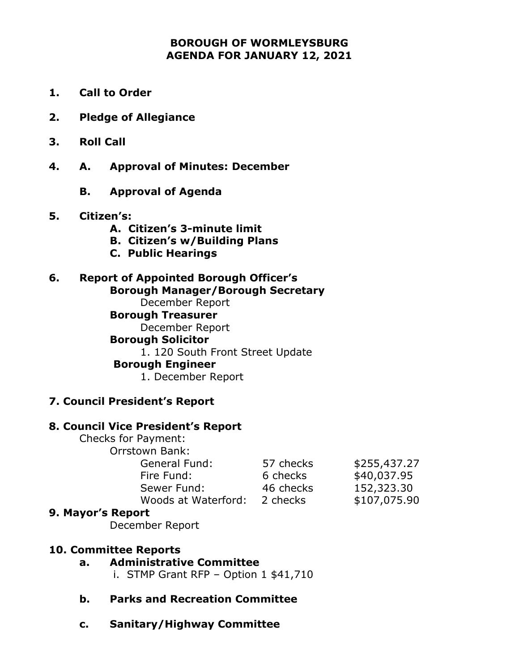### **BOROUGH OF WORMLEYSBURG AGENDA FOR JANUARY 12, 2021**

- **1. Call to Order**
- **2. Pledge of Allegiance**
- **3. Roll Call**
- **4. A. Approval of Minutes: December** 
	- **B. Approval of Agenda**

### **5. Citizen's:**

- **A. Citizen's 3-minute limit**
- **B. Citizen's w/Building Plans**
- **C. Public Hearings**

#### **6. Report of Appointed Borough Officer's Borough Manager/Borough Secretary** December Report

**Borough Treasurer** December Report **Borough Solicitor** 1. 120 South Front Street Update **Borough Engineer**  1. December Report

### **7. Council President's Report**

### **8. Council Vice President's Report**

Checks for Payment: Orrstown Bank: General Fund: Fire Fund: Sewer Fund:

| 57 checks<br>6 checks | \$255,437.27<br>\$40,037.95 |
|-----------------------|-----------------------------|
| 46 checks             | 152,323.30                  |
| 2 checks              | \$107,075.90                |

### **9. Mayor's Report**

December Report

### **10. Committee Reports**

## **a. Administrative Committee**

i. STMP Grant RFP – Option 1 \$41,710

### **b. Parks and Recreation Committee**

Woods at Waterford:

**c. Sanitary/Highway Committee**